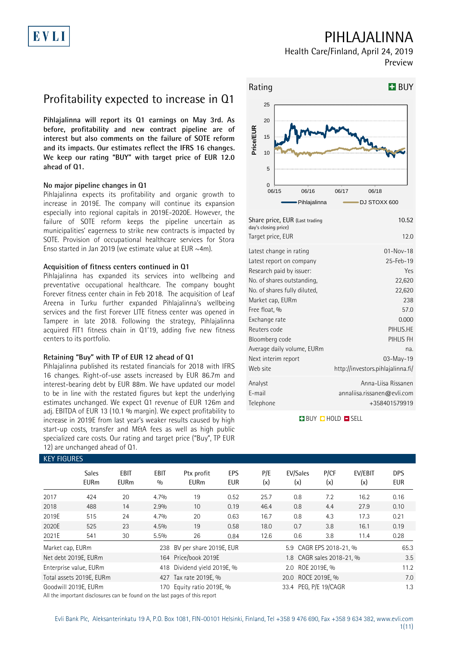# PIHLAJALINNA

Health Care/Finland, April 24, 2019 Preview

## Profitability expected to increase in Q1

**Pihlajalinna will report its Q1 earnings on May 3rd. As before, profitability and new contract pipeline are of interest but also comments on the failure of SOTE reform and its impacts. Our estimates reflect the IFRS 16 changes. We keep our rating "BUY" with target price of EUR 12.0 ahead of Q1.**

#### **No major pipeline changes in Q1**

Pihlajalinna expects its profitability and organic growth to increase in 2019E. The company will continue its expansion especially into regional capitals in 2019E-2020E. However, the failure of SOTE reform keeps the pipeline uncertain as municipalities' eagerness to strike new contracts is impacted by SOTE. Provision of occupational healthcare services for Stora Enso started in Jan 2019 (we estimate value at EUR ~4m).

### **Acquisition of fitness centers continued in Q1**

Pihlajalinna has expanded its services into wellbeing and preventative occupational healthcare. The company bought Forever fitness center chain in Feb 2018. The acquisition of Leaf Areena in Turku further expanded Pihlajalinna's wellbeing services and the first Forever LITE fitness center was opened in Tampere in late 2018. Following the strategy, Pihlajalinna acquired FIT1 fitness chain in Q1'19, adding five new fitness centers to its portfolio.

#### **Retaining "Buy" with TP of EUR 12 ahead of Q1**

Pihlajalinna published its restated financials for 2018 with IFRS 16 changes. Right-of-use assets increased by EUR 86.7m and interest-bearing debt by EUR 88m. We have updated our model to be in line with the restated figures but kept the underlying estimates unchanged. We expect Q1 revenue of EUR 126m and adi. EBITDA of EUR 13 (10.1 % margin). We expect profitability to increase in 2019E from last year's weaker results caused by high start-up costs, transfer and M&A fees as well as high public specialized care costs. Our rating and target price ("Buy", TP EUR 12) are unchanged ahead of Q1.



| Share price, EUR (Last trading<br>day's closing price) | 10.52                             |
|--------------------------------------------------------|-----------------------------------|
| Target price, EUR                                      | 12.0                              |
| Latest change in rating                                | $01 - Nov - 18$                   |
| Latest report on company                               | 25-Feb-19                         |
| Research paid by issuer:                               | Yes                               |
| No. of shares outstanding,                             | 22,620                            |
| No. of shares fully diluted,                           | 22,620                            |
| Market cap, EURm                                       | 238                               |
| Free float, %                                          | 57.0                              |
| Exchange rate                                          | 0.000                             |
| Reuters code                                           | PIHLIS.HE                         |
| Bloomberg code                                         | PIHLIS FH                         |
| Average daily volume, EURm                             | na.                               |
| Next interim report                                    | 03-May-19                         |
| Web site                                               | http://investors.pihlajalinna.fi/ |
| Analyst                                                | Anna-Liisa Rissanen               |
| E-mail                                                 | annaliisa.rissanen@evli.com       |
| Telephone                                              | +358401579919                     |

**BUY QHOLD SELL** 

| <b>KEY FIGURES</b> |                             |                     |             |                             |                   |            |                           |             |                |                          |
|--------------------|-----------------------------|---------------------|-------------|-----------------------------|-------------------|------------|---------------------------|-------------|----------------|--------------------------|
|                    | <b>Sales</b><br><b>EURm</b> | EBIT<br><b>EURm</b> | EBIT<br>0/0 | Ptx profit<br><b>EURm</b>   | EPS<br><b>EUR</b> | P/E<br>(x) | EV/Sales<br>(x)           | P/CF<br>(x) | EV/EBIT<br>(x) | <b>DPS</b><br><b>EUR</b> |
| 2017               | 424                         | 20                  | 4.7%        | 19                          | 0.52              | 25.7       | 0.8                       | 7.2         | 16.2           | 0.16                     |
| 2018               | 488                         | 14                  | 2.9%        | 10                          | 0.19              | 46.4       | 0.8                       | 4.4         | 27.9           | 0.10                     |
| 2019E              | 515                         | 24                  | 4.7%        | 20                          | 0.63              | 16.7       | 0.8                       | 4.3         | 17.3           | 0.21                     |
| 2020E              | 525                         | 23                  | 4.5%        | 19                          | 0.58              | 18.0       | 0.7                       | 3.8         | 16.1           | 0.19                     |
| 2021E              | 541                         | 30                  | 5.5%        | 26                          | 0.84              | 12.6       | 0.6                       | 3.8         | 11.4           | 0.28                     |
| Market cap, EURm   |                             |                     |             | 238 BV per share 2019E, EUR |                   |            | 5.9 CAGR EPS 2018-21, %   |             |                | 65.3                     |
|                    | Net debt 2019E, EURm        |                     |             | 164 Price/book 2019E        |                   |            | 1.8 CAGR sales 2018-21, % |             |                | 3.5                      |
|                    | Enterprise value, EURm      |                     |             | 418 Dividend yield 2019E, % |                   |            | 2.0 ROE 2019E, %          |             |                | 11.2                     |
|                    | Total assets 2019E, EURm    |                     |             | 427 Tax rate 2019E, %       |                   |            | 20.0 ROCE 2019E, %        |             |                | 7.0                      |
|                    | Goodwill 2019E, EURm        |                     |             | 170 Equity ratio 2019E, %   |                   |            | 33.4 PEG, P/E 19/CAGR     |             |                | 1.3                      |

All the important disclosures can be found on the last pages of this report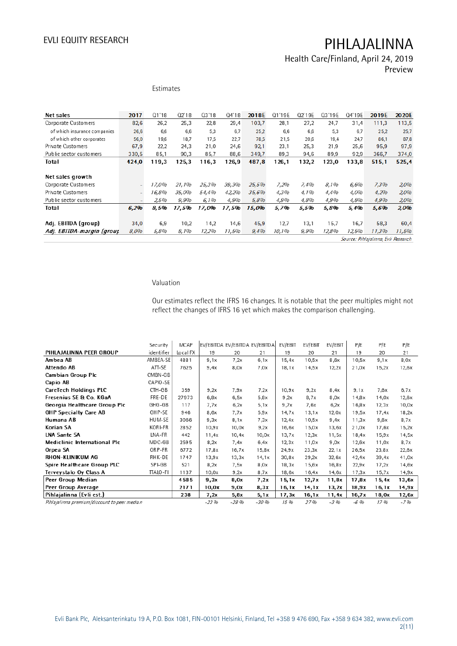### Health Care/Finland, April 24, 2019 Preview

| Estimates |  |
|-----------|--|
|           |  |
|           |  |
|           |  |

| Net sales                    | 2017                     | Q1'18 | Q2'18 | 03'18 | 04'18 | 2018E | Q1'19E | Q2'19E | Q3'19E | Q4'19E | 2019E | 2020E |
|------------------------------|--------------------------|-------|-------|-------|-------|-------|--------|--------|--------|--------|-------|-------|
| Corporate Customers          | 82,6                     | 26,2  | 25,3  | 22,8  | 29,4  | 103,7 | 28,1   | 27,2   | 24,7   | 31,4   | 111,3 | 113,5 |
| of which insurance companies | 26,6                     | 6,6   | 6,6   | 5,3   | 6.7   | 25,2  | 6.6    | 6,6    | 5.3    | 6,7    | 25,2  | 25,7  |
| of which other corporates    | 56,0                     | 19.6  | 18,7  | 17,5  | 22.7  | 78,5  | 21.5   | 20.6   | 19.4   | 24,7   | 86.1  | 87,8  |
| Private Customers            | 67,9                     | 22,2  | 24.3  | 21,0  | 24.6  | 92,1  | 23.1   | 25,3   | 21.9   | 25.6   | 95,9  | 97,9  |
| Public sector customers      | 330.5                    | 85.1  | 90.3  | 85.7  | 88,6  | 349,7 | 89,3   | 94,6   | 89,9   | 92,9   | 366,7 | 374,0 |
| Total                        | 424.0                    | 119.3 | 125.3 | 116.3 | 126.9 | 487.8 | 126.1  | 132,2  | 123.0  | 133.8  | 515.1 | 525.4 |
|                              |                          |       |       |       |       |       |        |        |        |        |       |       |
| Net sales growth             |                          |       |       |       |       |       |        |        |        |        |       |       |
| Corporate Customers          | ٠                        | 17,0% | 21.1% | 25,3% | 39.3% | 25,5% | 7,2%   | 7.4%   | 8.1%   | 6.6%   | 7,3%  | 2,0%  |
| Private Customers            | $\overline{\phantom{0}}$ | 16,8% | 35.0% | 54,4% | 42.2% | 35.6% | 4.3%   | 4.1%   | 4.4%   | 4.0%   | 4,2%  | 2,0%  |
| Public sector customers      |                          | 2,5%  | 9,9%  | 6.1%  | 4,9%  | 5,8%  | 4.9%   | 4.8%   | 4,9%   | 4,8%   | 4,9%  | 2,0%  |
| Total                        | 6,2%                     | 8.5%  | 17,5% | 17,0% | 17,5% | 15,0% | 5,7%   | 5,5%   | 5,8%   | 5,4%   | 5,6%  | 2,0%  |
|                              |                          |       |       |       |       |       |        |        |        |        |       |       |
| Adj. EBITDA (group)          | 34,0                     | 6.9   | 10.2  | 14.2  | 14.6  | 45,9  | 12.7   | 13.1   | 15.7   | 16.7   | 58.3  | 60,4  |
| Adj. EBITDA-margin (group    | 8,0%                     | 5,8%  | 8.1%  | 12,2% | 11,5% | 9,4%  | 10.1%  | 9.9%   | 12,8%  | 12,5%  | 11,3% | 11,5% |
|                              |                          |       |       |       |       |       |        |        |        |        | .     |       |

Source: Pihlajalinna, Evli Research

### Valuation

Our estimates reflect the IFRS 16 changes. It is notable that the peer multiples might not reflect the changes of IFRS 16 yet which makes the comparison challenging.

|                                              | Security   | <b>MCAP</b> |          |        | EV/EBITDA EV/EBITDA EV/EBITDA | EV/EBIT | EV/EBIT | EV/EBIT | P/E     | P/E    | P/E   |
|----------------------------------------------|------------|-------------|----------|--------|-------------------------------|---------|---------|---------|---------|--------|-------|
| PIHLAJALINNA PEER GROUP                      | identifier | Local FX    | 19       | 20     | 21                            | 19      | 20      | 21      | 19      | 20     | 21    |
| Ambea AB                                     | AMBEA-SE   | 4881        | 9,1x     | 7,2x   | 6,1x                          | 15,4x   | 10,5x   | 8,6x    | 10,5x   | 9,1x   | 8,0x  |
| Attendo AB                                   | ATT-SE     | 7625        | 9,4x     | 8,0x   | 7,0x                          | 18,1x   | 14,5x   | 12,2x   | 21,0x   | 15,2x  | 12,6x |
| Cambian Group Plc                            | CMBN-GB    |             |          |        |                               |         |         |         |         |        |       |
| Capio AB                                     | CAPIO-SE   |             |          |        |                               |         |         |         |         |        |       |
| <b>CareTech Holdings PLC</b>                 | CTH-GB     | 359         | 9.2x     | 7,9x   | 7,2x                          | 10.9x   | 9,2x    | 8,4x    | 9.1x    | 7.6x   | 6,7x  |
| Fresenius SE & Co. KGaA                      | FRE-DE     | 27973       | 6,8x     | 6,5x   | 5,8x                          | 9,2x    | 8,7x    | x0,8    | 14,8x   | 14,0x  | 12,6x |
| Georgia Healthcare Group Plc                 | GHG-GB     | 117         | 7,7x     | 6,2x   | 5,1x                          | 9,7x    | 7,6x    | 6,2x    | 16,8x   | 12,3x  | 10,0x |
| <b>GHP Specialty Care AB</b>                 | GHP-SE     | 946         | 8,6x     | 7,7x   | 5,9x                          | 14,7x   | 13,1x   | 12,0x   | 19,5x   | 17,4x  | 18,2x |
| Humana AB                                    | HUM-SE     | 3066        | 9,3x     | 8,1x   | 7,3x                          | 12,4x   | 10,5x   | 9,4x    | 11,3x   | 9,6x   | 8,7x  |
| Korian SA                                    | KORI-FR    | 2852        | 10.9x    | 10,0x  | 9,2x                          | 16,6x   | 15.0x   | 13,6x   | 21,0x   | 17,6x  | 15,2x |
| <b>LNA Sante SA</b>                          | LNA-FR     | 442         | 11,4x    | 10,4x  | 10,0x                         | 13,7x   | 12,3x   | 11,5x   | 18,4x   | 15,9x  | 14,5x |
| <b>Mediclinic International Plc</b>          | MDC-GB     | 2595        | 8.2x     | 7,4x   | 6,4x                          | 12.3x   | 11,0x   | 9,0x    | 12.6x   | 11,0x  | 8,7x  |
| Orpea SA                                     | ORP-FR     | 6772        | 17,8x    | 16,7x  | 15,8x                         | 24,9x   | 23,3x   | 22,1x   | 26,5x   | 23,8x  | 22,6x |
| <b>RHON-KLINIKUM AG</b>                      | RHK-DE     | 1747        | 13,9x    | 13,3x  | 14,1x                         | 30,8x   | 29,2x   | 32,6x   | 42,4x   | 39,4x  | 41,0x |
| Spire Healthcare Group PLC                   | SPI-GB     | 521         | 8,2x     | 7,5x   | x0,8                          | 18,3x   | 15.6x   | 16,8x   | 22.9x   | 17,2x  | 14,6x |
| Terveystalo Oy Class A                       | TTALO-FI   | 1137        | 10,0x    | 9,2x   | 8,7x                          | 18,6x   | 16,4x   | 14,6x   | 17,3x   | 15,7x  | 14,9x |
| Peer Group Median                            |            | 4585        | 9,3x     | 8,0x   | 7,2x                          | 15,1x   | 12,7x   | 11,8x   | 17,8x   | 15,4x  | 13,6x |
| Peer Group Average                           |            | 2171        | 10,0x    | 9,0x   | 8,3x                          | 16,1x   | 14,1x   | 13,2x   | 18,9x   | 16, 1x | 14,9x |
| Pihlajalinna (Evli est.)                     |            | 238         | 7,2x     | 5,8x   | 5,1x                          | 17, 3x  | 16,1x   | 11,4x   | 16,7x   | 18,0x  | 12,6x |
| Pihlajalinna premium/discount to peer median |            |             | $-23.96$ | $-28%$ | $-30.96$                      | 15 %    | 27%     | $-3.96$ | $-6.96$ | 17 %   | $-7%$ |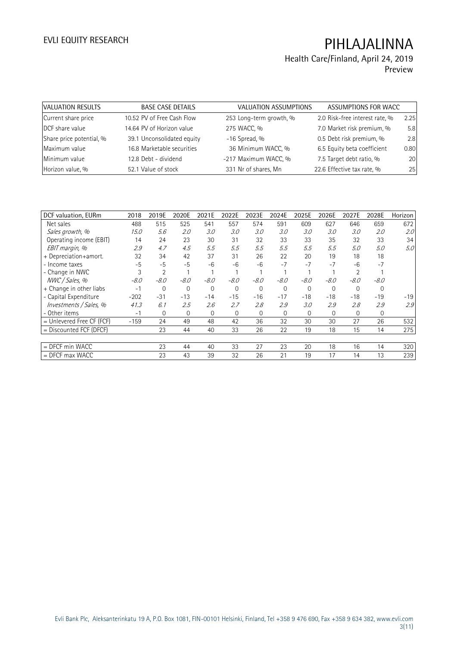## Health Care/Finland, April 24, 2019 Preview

| VALUATION RESULTS        | <b>BASE CASE DETAILS</b>   | VALUATION ASSUMPTIONS   | ASSUMPTIONS FOR WACC           |      |
|--------------------------|----------------------------|-------------------------|--------------------------------|------|
| Current share price      | 10.52 PV of Free Cash Flow | 253 Long-term growth, % | 2.0 Risk-free interest rate, % | 2.25 |
| DCF share value          | 14.64 PV of Horizon value  | 275 WACC, %             | 7.0 Market risk premium, %     | 5.8  |
| Share price potential, % | 39.1 Unconsolidated equity | $-16$ Spread, %         | 0.5 Debt risk premium, %       | 2.8  |
| Maximum value            | 16.8 Marketable securities | 36 Minimum WACC, %      | 6.5 Equity beta coefficient    | 0.80 |
| Minimum value            | 12.8 Debt - dividend       | -217 Maximum WACC, %    | 7.5 Target debt ratio, %       | 20   |
| Horizon value, %         | 52.1 Value of stock        | 331 Nr of shares, Mn    | 22.6 Effective tax rate, %     | 25   |

| DCF valuation, EURm         | 2018   | 2019E          | 2020E       | 2021E       | 2022E        | 2023E    | 2024E       | 2025E       | 2026E       | 2027E    | 2028E    | Horizon |
|-----------------------------|--------|----------------|-------------|-------------|--------------|----------|-------------|-------------|-------------|----------|----------|---------|
| Net sales                   | 488    | 515            | 525         | 541         | 557          | 574      | 591         | 609         | 627         | 646      | 659      | 672     |
| Sales growth, %             | 15.0   | 5.6            | 2.0         | 3.0         | 3.0          | 3.0      | 3.0         | 3.0         | 3.0         | 3.0      | 2.0      | 2.0     |
| Operating income (EBIT)     | 14     | 24             | 23          | 30          | 31           | 32       | 33          | 33          | 35          | 32       | 33       | 34      |
| EBIT margin, %              | 2.9    | 4.7            | 4.5         | 5.5         | 5.5          | 5.5      | 5.5         | 5.5         | 5.5         | 5.0      | 5.0      | 5.0     |
| + Depreciation+amort.       | 32     | 34             | 42          | 37          | 31           | 26       | 22          | 20          | 19          | 18       | 18       |         |
| - Income taxes              | $-5$   | $-5$           | $-5$        | $-6$        | -6           | -6       | $-7$        | $-7$        | $-7$        | $-6$     | $-7$     |         |
| - Change in NWC             | 3      | $\overline{2}$ |             |             |              |          |             |             |             |          |          |         |
| NWC / Sales, %              | $-8.0$ | $-8.0$         | $-8.0$      | $-8.0$      | $-8.0$       | $-8.0$   | $-8.0$      | $-8.0$      | $-8.0$      | $-8.0$   | $-8.0$   |         |
| + Change in other liabs     | $-1$   | 0              | $\Omega$    | $\mathbf 0$ | $\Omega$     | $\Omega$ | $\Omega$    | $\Omega$    | $\Omega$    | $\Omega$ | $\Omega$ |         |
| - Capital Expenditure       | $-202$ | $-31$          | $-13$       | $-14$       | $-15$        | $-16$    | $-17$       | $-18$       | $-18$       | $-18$    | $-19$    | $-19$   |
| Investments / Sales, %      | 41.3   | 6.1            | 2.5         | 2.6         | 2.7          | 2.8      | 2.9         | 3.0         | 2.9         | 2.8      | 2.9      | 2.9     |
| - Other items               | $-1$   | $\mathbf{0}$   | $\mathbf 0$ | 0           | $\mathbf{0}$ | $\Omega$ | $\mathbf 0$ | $\mathbf 0$ | $\mathbf 0$ | 0        | 0        |         |
| $=$ Unlevered Free CF (FCF) | $-159$ | 24             | 49          | 48          | 42           | 36       | 32          | 30          | 30          | 27       | 26       | 532     |
| $=$ Discounted FCF (DFCF)   |        | 23             | 44          | 40          | 33           | 26       | 22          | 19          | 18          | 15       | 14       | 275     |
|                             |        |                |             |             |              |          |             |             |             |          |          |         |
| $=$ DFCF min WACC           |        | 23             | 44          | 40          | 33           | 27       | 23          | 20          | 18          | 16       | 14       | 320     |
| $=$ DFCF max WACC           |        | 23             | 43          | 39          | 32           | 26       | 21          | 19          | 17          | 14       | 13       | 239     |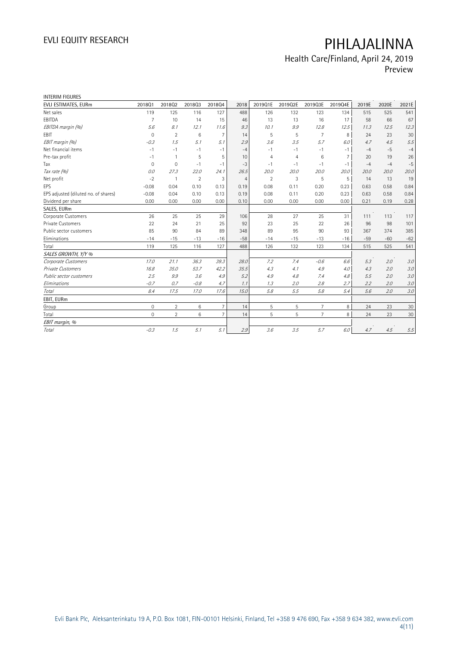## Health Care/Finland, April 24, 2019 Preview

| <b>INTERIM FIGURES</b>               |                |                |                |                |                |                |                |                 |         |       |       |       |
|--------------------------------------|----------------|----------------|----------------|----------------|----------------|----------------|----------------|-----------------|---------|-------|-------|-------|
| EVLI ESTIMATES, EURm                 | 201801         | 201802         | 201803         | 201804         | 2018           | 2019Q1E        | 2019Q2E        | 2019Q3E         | 2019Q4E | 2019E | 2020E | 2021E |
| Net sales                            | 119            | 125            | 116            | 127            | 488            | 126            | 132            | 123             | 134     | 515   | 525   | 541   |
| EBITDA                               | 7              | 10             | 14             | 15             | 46             | 13             | 13             | 16              | 17      | 58    | 66    | 67    |
| EBITDA margin (%)                    | 5.6            | 8.1            | 12.1           | 11.6           | 9.3            | 10.1           | 9.9            | 12.8            | 12.5    | 11.3  | 12.5  | 12.3  |
| EBIT                                 | $\Omega$       | $\overline{2}$ | 6              | $\overline{7}$ | 14             | 5              | 5              | $\overline{7}$  | 8       | 24    | 23    | 30    |
| EBIT margin (%)                      | $-0.3$         | 1.5            | 5.1            | 5.1            | 2.9            | 3.6            | 3.5            | 5.7             | 6.0     | 4.7   | 4.5   | 5.5   |
| Net financial items                  | $-1$           | $-1$           | $-1$           | $-1$           | $-4$           | $-1$           | $-1$           | $-1$            | $-1$    | $-4$  | $-5$  | $-4$  |
| Pre-tax profit                       | $-1$           |                | 5              | 5              | 10             | 4              | $\overline{4}$ | 6               | 7       | 20    | 19    | 26    |
| Tax                                  | $\overline{0}$ | $\mathbf 0$    | $-1$           | $-1$           | $-3$           | $-1$           | $-1$           | $-1$            | $-1$    | $-4$  | $-4$  | $-5$  |
| Tax rate (%)                         | 0.0            | 27.3           | 22.0           | 24.1           | 26.5           | 20.0           | 20.0           | 20.0            | 20.0    | 20.0  | 20.0  | 20.0  |
| Net profit                           | $-2$           |                | $\overline{2}$ | 3              | $\overline{4}$ | $\overline{2}$ | 3              | 5               | 5       | 14    | 13    | 19    |
| EPS                                  | $-0.08$        | 0.04           | 0.10           | 0.13           | 0.19           | 0.08           | 0.11           | 0.20            | 0.23    | 0.63  | 0.58  | 0.84  |
| EPS adjusted (diluted no. of shares) | $-0.08$        | 0.04           | 0.10           | 0.13           | 0.19           | 0.08           | 0.11           | 0.20            | 0.23    | 0.63  | 0.58  | 0.84  |
| Dividend per share                   | 0.00           | 0.00           | 0.00           | 0.00           | 0.10           | 0.00           | 0.00           | 0.00            | 0.00    | 0.21  | 0.19  | 0.28  |
| SALES, EURm                          |                |                |                |                |                |                |                |                 |         |       |       |       |
| Corporate Customers                  | 26             | 25             | 25             | 29             | 106            | 28             | 27             | 25              | 31      | 111   | 113   | 117   |
| Private Customers                    | 22             | 24             | 21             | 25             | 92             | 23             | 25             | 22              | 26      | 96    | 98    | 101   |
| Public sector customers              | 85             | 90             | 84             | 89             | 348            | 89             | 95             | 90              | 93      | 367   | 374   | 385   |
| Eliminations                         | $-14$          | $-15$          | $-13$          | $-16$          | $-58$          | $-14$          | $-15$          | $-13$           | $-16$   | $-59$ | $-60$ | $-62$ |
| Total                                | 119            | 125            | 116            | 127            | 488            | 126            | 132            | 123             | 134     | 515   | 525   | 541   |
| SALES GROWTH, Y/Y %                  |                |                |                |                |                |                |                |                 |         |       |       |       |
| Corporate Customers                  | 17.0           | 21.1           | 36.3           | 39.3           | 28.0           | 7.2            | 7.4            | $-0.6$          | 6.6     | 5.3   | 2.0   | 3.0   |
| <b>Private Customers</b>             | 16.8           | 35.0           | 53.7           | 42.2           | 35.5           | 4.3            | 4.1            | 4.9             | 4.0     | 4.3   | 2.0   | 3.0   |
| Public sector customers              | 2.5            | 9.9            | 3.6            | 4.9            | 5.2            | 4.9            | 4.8            | 7.4             | 4.8     | 5.5   | 2.0   | 3.0   |
| Eliminations                         | $-0.7$         | 0.7            | $-0.8$         | 4.7            | 1.1            | 1.3            | 2.0            | 2.8             | 2.7     | 2.2   | 2.0   | 3.0   |
| Total                                | 8.4            | 17.5           | 17.0           | 17.6           | 15.0           | 5.8            | 5.5            | 5.8             | 5.4     | 5.6   | 2.0   | 3.0   |
| EBIT, EURm                           |                |                |                |                |                |                |                |                 |         |       |       |       |
| Group                                | $\mathbf 0$    | $\overline{2}$ | 6              | $\overline{7}$ | 14             | 5              | 5              | $7\overline{ }$ | 8       | 24    | 23    | 30    |
| Total                                | $\circ$        | $\overline{2}$ | 6              | $\overline{7}$ | 14             | 5              | 5              | $\overline{7}$  | 8       | 24    | 23    | 30    |
| EBIT margin, %                       |                |                |                |                |                |                |                |                 |         |       |       |       |
| Total                                | $-0.3$         | 1.5            | 5.1            | 5.1            | 2.9            | 3.6            | 3.5            | 5.7             | 6.0     | 4.7   | 4.5   | 5.5   |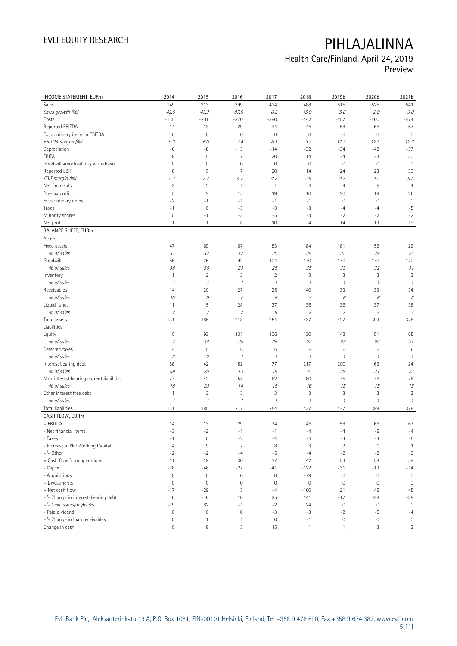# Health Care/Finland, April 24, 2019

Preview

| INCOME STATEMENT, EURm                   | 2014                | 2015           | 2016                | 2017                | 2018           | 2019E                     | 2020E                     | 2021E          |
|------------------------------------------|---------------------|----------------|---------------------|---------------------|----------------|---------------------------|---------------------------|----------------|
| <b>Sales</b>                             | 149                 | 213            | 399                 | 424                 | 488            | 515                       | 525                       | 541            |
| Sales growth (%)                         | 42.6                | 43.3           | 87.0                | 6.2                 | 15.0           | 5.6                       | 2.0                       | 3.0            |
| Costs                                    | $-135$              | $-201$         | $-370$              | $-390$              | $-442$         | $-457$                    | $-460$                    | $-474$         |
| Reported EBITDA                          | 14                  | 13             | 29                  | 34                  | 46             | 58                        | 66                        | 67             |
| Extraordinary items in EBITDA            | $\mathbf 0$         | $\mathbf 0$    | $\mathbf 0$         | $\mathsf{O}\xspace$ | $\mathbf 0$    | $\mathsf{O}\xspace$       | $\mathbf 0$               | $\mathbf 0$    |
| EBITDA margin (%)                        | 9.3                 | 6.0            | 7.4                 | 8.1                 | 9.3            | 11.3                      | 12.5                      | 12.3           |
| Depreciation                             | -6                  | $-8$           | $-13$               | $-14$               | $-32$          | $-34$                     | $-42$                     | $-37$          |
| EBITA                                    | 8                   | 5              | 17                  | 20                  | 14             | 24                        | 23                        | 30             |
| Goodwill amortization / writedown        | $\mathsf{O}\xspace$ | 0              | $\mathbf 0$         | $\mathsf{O}\xspace$ | $\mathbf 0$    | $\mathbf 0$               | $\mathbf 0$               | $\mathbf 0$    |
| Reported EBIT                            | 8                   | 5              | 17                  | 20                  | 14             | 24                        | 23                        | 30             |
| EBIT margin (%)                          | 5.4                 | 2.2            | 4.2                 | 4.7                 | 2.9            | 4.7                       | 4.5                       | 5.5            |
| Net financials                           | $-3$                | $-2$           | $-1$                | $-1$                | $-4$           | $-4$                      | $-5$                      | $-4$           |
| Pre-tax profit                           | 5                   | $\sqrt{2}$     | 15                  | 19                  | 10             | 20                        | 19                        | 26             |
| Extraordinary items                      | $-2$                | $-1$           | $-1$                | $-1$                | $-1$           | $\mathsf{O}\xspace$       | $\mathbf 0$               | $\mathbf 0$    |
| Taxes                                    | $-1$                | $\mathbf 0$    | $-3$                | $-3$                | $-3$           | $-4$                      | $-4$                      | $-5$           |
| Minority shares                          | $\mathbf 0$         | $-1$           | $-3$                | $-5$                | -3             | $-2$                      | $-2$                      | $-2$           |
| Net profit                               | $\mathbf{1}$        | $\mathbf{1}$   | 8                   | 10                  | $\overline{4}$ | 14                        | 13                        | 19             |
| <b>BALANCE SHEET, EURm</b>               |                     |                |                     |                     |                |                           |                           |                |
| Assets                                   |                     |                |                     |                     |                |                           |                           |                |
| Fixed assets                             | 47                  | 69             | 67                  | 83                  | 184            | 181                       | 152                       | 129            |
| % of sales                               | 31                  | 32             | 17                  | 20                  | 38             | 35                        | 29                        | 24             |
| Goodwill                                 | 56                  | 76             | 92                  | 104                 | 170            | 170                       | 170                       | 170            |
| % of sales                               | 38                  | 36             | 23                  | 25                  | 35             | 33                        | 32                        | 31             |
| Inventory                                | $\mathbf{1}$        | $\overline{2}$ | $\overline{2}$      | $\overline{2}$      | 3              | 3                         | 3                         | 3              |
| % of sales                               | $\mathcal I$        | $\mathcal{I}$  | 1                   | $\mathcal I$        | $\mathcal I$   | $\mathcal I$              | $\mathcal I$              |                |
| Receivables                              | 14                  | 20             | 27                  | 25                  | 40             | 33                        | 33                        | 34             |
| % of sales                               | 10                  | $\mathcal G$   | $\overline{z}$      | $\epsilon$          | 8              | $\boldsymbol{\mathit{6}}$ | $\epsilon$                | 6              |
| Liquid funds                             | 11                  | 15             | 28                  | 37                  | 36             | 36                        | 37                        | 38             |
| % of sales                               | 7                   | $\overline{z}$ | $\overline{z}$      | 9                   | $\overline{z}$ | $\overline{z}$            | 7                         | $\overline{z}$ |
| Total assets                             | 131                 | 185            | 218                 | 254                 | 437            | 427                       | 399                       | 378            |
| Liabilities                              |                     |                |                     |                     |                |                           |                           |                |
| Equity                                   | 10                  | 93             | 101                 | 106                 | 130            | 142                       | 151                       | 165            |
| % of sales                               | $\boldsymbol{7}$    | 44             | 25                  | 25                  | 27             | 28                        | 29                        | 31             |
| Deferred taxes                           | $\overline{4}$      | 5              | $\,6$               | $\,6$               | 6              | $\,6$                     | 6                         | 6              |
| % of sales                               | 3                   | $\mathfrak z$  | 1                   | $\mathcal{I}$       | 1              | $\overline{\phantom{a}}$  | $\mathcal I$              |                |
| Interest bearing debt                    | 88                  | 42             | 52                  | 77                  | 217            | 200                       | 162                       | 124            |
| % of sales                               | 59                  | 20             | 13                  | 18                  | 45             | 39                        | $\mathcal{I}\mathcal{I}$  | 23             |
| Non-interest bearing current liabilities | 27                  | 42             | 55                  | 62                  | 80             | 75                        | 76                        | 78             |
| % of sales                               | 18                  | 20             | 14                  | 15                  | 16             | 15                        | 15                        | 15             |
| Other interest free debt                 | $\mathbf{1}$        | 3              | 3                   | 3                   | $\sqrt{3}$     | 3                         | $\ensuremath{\mathsf{3}}$ | 3              |
| % of sales                               | $\mathcal{I}$       | $\mathcal I$   | $\cal I$            | $\mathcal I$        | $\mathcal I$   | $\mathcal I$              | $\mathcal I$              | $\mathcal I$   |
| Total liabilities                        | 131                 | 185            | 217                 | 254                 | 437            | 427                       | 399                       | 378            |
| CASH FLOW, EURm                          |                     |                |                     |                     |                |                           |                           |                |
| + EBITDA                                 | 14                  | 13             | 29                  | 34                  | 46             | 58                        | 66                        | 67             |
| - Net financial items                    | $-3$                | $-2$           | $-1$                | $-1$                | $-4$           | $-4$                      | $-5$                      | $-4$           |
| - Taxes                                  | $-1$                | 0              | $-2$                | $-4$                | -4             | $-4$                      | -4                        | $-5$           |
| - Increase in Net Working Capital        | 4                   | $\,9$          | $\overline{7}$      | 8                   | 3              | $\sqrt{2}$                | $\mathbf{1}$              | $\mathbf{1}$   |
| $+/-$ Other                              | $-2$                | $-2$           | $-4$                | $-5$                | $-4$           | $-2$                      | $-2$                      | $-2$           |
| = Cash flow from operations              | 11                  | 19             | 30                  | 37                  | 42             | 53                        | 58                        | 59             |
| - Capex                                  | $-28$               | $-48$          | $-27$               | $-41$               | $-122$         | $-31$                     | $-13$                     | $-14$          |
| - Acquisitions                           | $\bf 0$             | $\mathbb O$    | $\mathsf{O}\xspace$ | $\mathbb O$         | $-79$          | $\mathbf 0$               | $\mathbf 0$               | $\mathbb O$    |
| + Divestments                            | $\mathbf 0$         | $\mathbf 0$    | $\circ$             | $\mathsf{O}\xspace$ | $\mathbf 0$    | $\mathsf{O}\xspace$       | $\mathbf 0$               | $\mathbf 0$    |
| = Net cash flow                          | $-17$               | $-29$          | 3                   | $-4$                | $-160$         | 21                        | 45                        | 45             |
| +/- Change in interest-bearing debt      | 46                  | $-46$          | 10                  | 25                  | 141            | $-17$                     | $-38$                     | $-38$          |
| +/- New issues/buybacks                  | $-29$               | 82             | $-1$                | $-2$                | 24             | $\mathbb O$               | $\mathsf{O}\xspace$       | $\mathbf 0$    |
| - Paid dividend                          | $\mathbf 0$         | $\mathbf 0$    | $\mathbf 0$         | $-3$                | $-3$           | $-2$                      | $-5$                      | $-4$           |
| +/- Change in loan receivables           | $\bf 0$             | 1              | $\mathbf{1}$        | $\mathbb O$         | $-1$           | $\mathbb O$               | $\mathsf{O}\xspace$       | $\mathbf 0$    |
| Change in cash                           | $\mathsf{O}\xspace$ | 8              | 13                  | 15                  | $\mathbf{1}$   | $\mathbf{1}$              | 3                         | 3              |
|                                          |                     |                |                     |                     |                |                           |                           |                |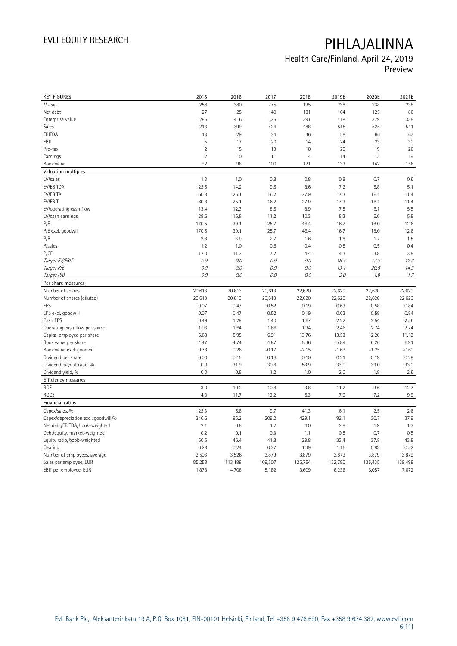## Health Care/Finland, April 24, 2019 Preview

| <b>KEY FIGURES</b>                  | 2015           | 2016    | 2017    | 2018           | 2019E   | 2020E   | 2021E   |
|-------------------------------------|----------------|---------|---------|----------------|---------|---------|---------|
| M-cap                               | 256            | 380     | 275     | 195            | 238     | 238     | 238     |
| Net debt                            | 27             | 25      | 40      | 181            | 164     | 125     | 86      |
| Enterprise value                    | 286            | 416     | 325     | 391            | 418     | 379     | 338     |
| Sales                               | 213            | 399     | 424     | 488            | 515     | 525     | 541     |
| EBITDA                              | 13             | 29      | 34      | 46             | 58      | 66      | 67      |
| EBIT                                | 5              | 17      | 20      | 14             | 24      | 23      | 30      |
| Pre-tax                             | $\overline{2}$ | 15      | 19      | 10             | 20      | 19      | 26      |
| Earnings                            | $\overline{2}$ | 10      | 11      | $\overline{4}$ | 14      | 13      | 19      |
| Book value                          | 92             | 98      | 100     | 121            | 133     | 142     | 156     |
| Valuation multiples                 |                |         |         |                |         |         |         |
| EV/sales                            | 1.3            | 1.0     | 0.8     | 0.8            | 0.8     | 0.7     | 0.6     |
| EV/EBITDA                           | 22.5           | 14.2    | 9.5     | 8.6            | 7.2     | 5.8     | 5.1     |
| EV/EBITA                            | 60.8           | 25.1    | 16.2    | 27.9           | 17.3    | 16.1    | 11.4    |
| EV/EBIT                             | 60.8           | 25.1    | 16.2    | 27.9           | 17.3    | 16.1    | 11.4    |
| EV/operating cash flow              | 13.4           | 12.3    | 8.5     | 8.9            | 7.5     | 6.1     | 5.5     |
| EV/cash earnings                    | 28.6           | 15.8    | 11.2    | 10.3           | 8.3     | 6.6     | 5.8     |
| P/E                                 | 170.5          | 39.1    | 25.7    | 46.4           | 16.7    | 18.0    | 12.6    |
| P/E excl. goodwill                  | 170.5          | 39.1    | 25.7    | 46.4           | 16.7    | 18.0    | 12.6    |
| P/B                                 | 2.8            | 3.9     | 2.7     | 1.6            | 1.8     | 1.7     | 1.5     |
| P/sales                             | 1.2            | 1.0     | 0.6     | 0.4            | 0.5     | 0.5     | 0.4     |
| <b>P/CF</b>                         | 12.0           | 11.2    | 7.2     | 4.4            | 4.3     | 3.8     | 3.8     |
| Target EV/EBIT                      | 0.0            | 0.0     | 0.0     | 0.0            | 18.4    | 17.3    | 12.3    |
| Target P/E                          | 0.0            | 0.0     | 0.0     | 0.0            | 19.1    | 20.5    | 14.3    |
| Target P/B                          | 0.0            | 0.0     | 0.0     | $O.O$          | 2.0     | 1.9     | 1.7     |
| Per share measures                  |                |         |         |                |         |         |         |
| Number of shares                    | 20,613         | 20,613  | 20,613  | 22,620         | 22,620  | 22,620  | 22,620  |
| Number of shares (diluted)          | 20,613         | 20,613  | 20,613  | 22,620         | 22,620  | 22,620  | 22,620  |
| EPS                                 | 0.07           | 0.47    | 0.52    | 0.19           | 0.63    | 0.58    | 0.84    |
| EPS excl. goodwill                  | 0.07           | 0.47    | 0.52    | 0.19           | 0.63    | 0.58    | 0.84    |
| Cash EPS                            | 0.49           | 1.28    | 1.40    | 1.67           | 2.22    | 2.54    | 2.56    |
| Operating cash flow per share       | 1.03           | 1.64    | 1.86    | 1.94           | 2.46    | 2.74    | 2.74    |
| Capital employed per share          | 5.68           | 5.95    | 6.91    | 13.76          | 13.53   | 12.20   | 11.13   |
| Book value per share                | 4.47           | 4.74    | 4.87    | 5.36           | 5.89    | 6.26    | 6.91    |
| Book value excl. goodwill           | 0.78           | 0.26    | $-0.17$ | $-2.15$        | $-1.62$ | $-1.25$ | $-0.60$ |
| Dividend per share                  | 0.00           | 0.15    | 0.16    | 0.10           | 0.21    | 0.19    | 0.28    |
| Dividend payout ratio, %            | 0.0            | 31.9    | 30.8    | 53.9           | 33.0    | 33.0    | 33.0    |
| Dividend yield, %                   | 0.0            | 0.8     | 1.2     | 1.0            | 2.0     | 1.8     | 2.6     |
| <b>Efficiency measures</b>          |                |         |         |                |         |         |         |
| ROE                                 | 3.0            | 10.2    | 10.8    | 3.8            | 11.2    | 9.6     | 12.7    |
| <b>ROCE</b>                         | 4.0            | 11.7    | 12.2    | 5.3            | 7.0     | 7.2     | 9.9     |
| Financial ratios                    |                |         |         |                |         |         |         |
| Capex/sales, %                      | 22.3           | 6.8     | 9.7     | 41.3           | 6.1     | 2.5     | 2.6     |
| Capex/depreciation excl. goodwill,% | 346.6          | 85.2    | 209.2   | 429.1          | 92.1    | 30.7    | 37.9    |
| Net debt/EBITDA, book-weighted      | 2.1            | 0.8     | 1.2     | 4.0            | 2.8     | 1.9     | 1.3     |
| Debt/equity, market-weighted        | 0.2            | 0.1     | 0.3     | 1.1            | 0.8     | 0.7     | 0.5     |
| Equity ratio, book-weighted         | 50.5           | 46.4    | 41.8    | 29.8           | 33.4    | 37.8    | 43.8    |
| Gearing                             | 0.28           | 0.24    | 0.37    | 1.39           | 1.15    | 0.83    | 0.52    |
| Number of employees, average        | 2,503          | 3,526   | 3,879   | 3,879          | 3,879   | 3,879   | 3,879   |
| Sales per employee, EUR             | 85,258         | 113,188 | 109,307 | 125,754        | 132,780 | 135,435 | 139,498 |
| EBIT per employee, EUR              | 1,878          | 4,708   | 5,182   | 3,609          | 6,236   | 6,057   | 7,672   |
|                                     |                |         |         |                |         |         |         |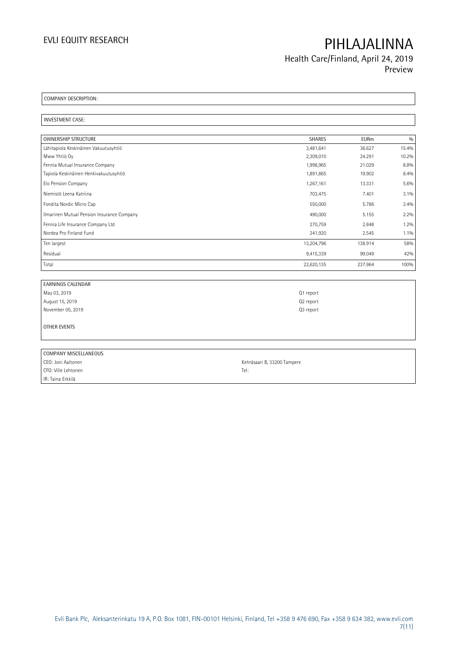Health Care/Finland, April 24, 2019 Preview

COMPANY DESCRIPTION:

INVESTMENT CASE:

| <b>OWNERSHIP STRUCTURE</b>                 | <b>SHARES</b> | <b>EURm</b> | 0/0   |
|--------------------------------------------|---------------|-------------|-------|
| Lähitapiola Keskinäinen Vakuutusyhtiö      | 3,481,641     | 36.627      | 15.4% |
| Mww Yhtiö Oy                               | 2,309,010     | 24.291      | 10.2% |
| Fennia Mutual Insurance Company            | 1,998,965     | 21.029      | 8.8%  |
| Tapiola Keskinäinen Henkivakuutusyhtiö     | 1,891,865     | 19.902      | 8.4%  |
| Elo Pension Company                        | 1,267,161     | 13.331      | 5.6%  |
| Niemistö Leena Katriina                    | 703,475       | 7.401       | 3.1%  |
| Fondita Nordic Micro Cap                   | 550,000       | 5.786       | 2.4%  |
| Ilmarinen Mutual Pension Insurance Company | 490,000       | 5.155       | 2.2%  |
| Fennia Life Insurance Company Ltd          | 270,759       | 2.848       | 1.2%  |
| Nordea Pro Finland Fund                    | 241,920       | 2.545       | 1.1%  |
| Ten largest                                | 13,204,796    | 138.914     | 58%   |
| Residual                                   | 9,415,339     | 99.049      | 42%   |
| Total                                      | 22,620,135    | 237.964     | 100%  |

| <b>EARNINGS CALENDAR</b> |           |
|--------------------------|-----------|
| May 03, 2019             | Q1 report |
| August 15, 2019          | Q2 report |
| November 05, 2019        | Q3 report |
|                          |           |
| OTHER EVENTS             |           |
|                          |           |
|                          |           |

| COMPANY MISCELLANEOUS |                             |
|-----------------------|-----------------------------|
| CEO: Joni Aaltonen    | Kehräsaari B, 33200 Tampere |
| CFO: Ville Lehtonen   | Tel:                        |
| IR: Taina Erkkilä     |                             |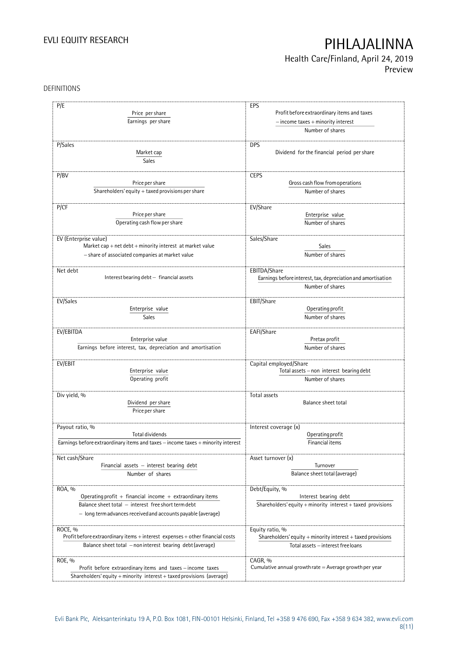## Health Care/Finland, April 24, 2019 Preview

### DEFINITIONS

| P/E<br>Price per share<br>Earnings per share                                                                 | EPS<br>Profit before extraordinary items and taxes<br>$-$ income taxes $+$ minority interest          |  |  |
|--------------------------------------------------------------------------------------------------------------|-------------------------------------------------------------------------------------------------------|--|--|
|                                                                                                              | Number of shares                                                                                      |  |  |
| P/Sales<br>Market cap<br><b>Sales</b>                                                                        | <b>DPS</b><br>Dividend for the financial period per share                                             |  |  |
| P/BV                                                                                                         | <b>CEPS</b>                                                                                           |  |  |
| Price per share                                                                                              | Gross cash flow from operations                                                                       |  |  |
| Shareholders' equity $+$ taxed provisions per share                                                          | Number of shares                                                                                      |  |  |
| P/CF<br>Price per share                                                                                      | EV/Share<br>Enterprise value                                                                          |  |  |
| Operating cash flow per share                                                                                | Number of shares                                                                                      |  |  |
| EV (Enterprise value)                                                                                        | Sales/Share                                                                                           |  |  |
| Market cap + net debt + minority interest at market value<br>- share of associated companies at market value | Sales<br>Number of shares                                                                             |  |  |
| Net debt<br>Interest bearing debt - financial assets                                                         | EBITDA/Share<br>Earnings before interest, tax, depreciation and amortisation                          |  |  |
|                                                                                                              | Number of shares                                                                                      |  |  |
| EV/Sales                                                                                                     | EBIT/Share                                                                                            |  |  |
| Enterprise value                                                                                             | Operating profit                                                                                      |  |  |
| <b>Sales</b>                                                                                                 | Number of shares                                                                                      |  |  |
| EV/EBITDA                                                                                                    | EAFI/Share                                                                                            |  |  |
| Enterprise value                                                                                             | Pretax profit                                                                                         |  |  |
| Earnings before interest, tax, depreciation and amortisation                                                 | Number of shares                                                                                      |  |  |
| EV/EBIT                                                                                                      | Capital employed/Share                                                                                |  |  |
| Enterprise value                                                                                             | Total assets - non interest bearing debt                                                              |  |  |
| Operating profit                                                                                             | Number of shares                                                                                      |  |  |
| Div yield, %                                                                                                 | Total assets                                                                                          |  |  |
| Dividend per share<br>Price per share                                                                        | Balance sheet total                                                                                   |  |  |
| Payout ratio, %                                                                                              | Interest coverage (x)                                                                                 |  |  |
| Total dividends                                                                                              | Operating profit                                                                                      |  |  |
| Earnings before extraordinary items and taxes - income taxes + minority interest                             | Financial items                                                                                       |  |  |
| Net cash/Share                                                                                               | Asset turnover (x)                                                                                    |  |  |
| Financial assets - interest bearing debt                                                                     | Turnover                                                                                              |  |  |
| Number of shares                                                                                             | Balance sheet total (average)                                                                         |  |  |
| ROA, %                                                                                                       | Debt/Equity, %                                                                                        |  |  |
| Operating profit + financial income + extraordinary items                                                    | Interest bearing debt<br>Shareholders' equity + minority interest + taxed provisions                  |  |  |
| Balance sheet total - interest free short term debt                                                          |                                                                                                       |  |  |
| - long term advances received and accounts payable (average)                                                 |                                                                                                       |  |  |
| ROCE, %                                                                                                      | Equity ratio, %                                                                                       |  |  |
| Profit before extraordinary items + interest expenses + other financial costs                                | Shareholders' equity $+$ minority interest $+$ taxed provisions<br>Total assets - interest free loans |  |  |
| Balance sheet total - non interest bearing debt (average)                                                    |                                                                                                       |  |  |
| ROE, %                                                                                                       | CAGR, %                                                                                               |  |  |
| Profit before extraordinary items and taxes - income taxes                                                   | Cumulative annual growth rate $=$ Average growth per year                                             |  |  |
| Shareholders' equity + minority interest + taxed provisions (average)                                        |                                                                                                       |  |  |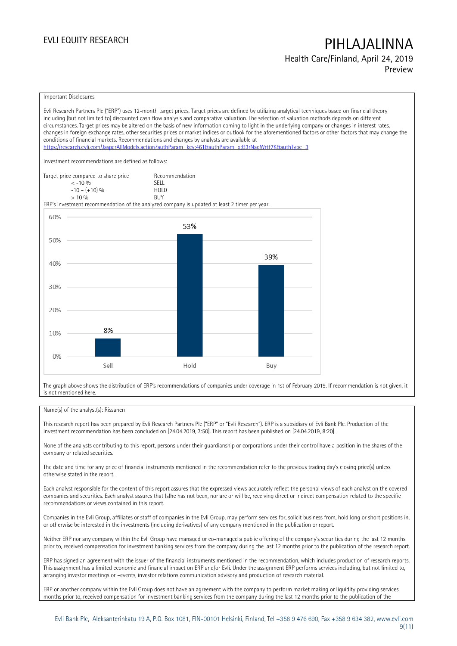# EVLI EQUITY RESEARCH **PIHLAJALINNA** Health Care/Finland, April 24, 2019

Preview

#### Important Disclosures

Evli Research Partners Plc ("ERP") uses 12-month target prices. Target prices are defined by utilizing analytical techniques based on financial theory including (but not limited to) discounted cash flow analysis and comparative valuation. The selection of valuation methods depends on different circumstances. Target prices may be altered on the basis of new information coming to light in the underlying company or changes in interest rates, changes in foreign exchange rates, other securities prices or market indices or outlook for the aforementioned factors or other factors that may change the conditions of financial markets. Recommendations and changes by analysts are available at <https://research.evli.com/JasperAllModels.action?authParam=key;461&authParam=x;G3rNagWrtf7K&authType=3> Investment recommendations are defined as follows: Target price compared to share price Recommendation<br>  $\leq -10\%$  SELL  $\langle 5, 10, 10 \rangle$  SELL<br> $\langle -10, 10, 10 \rangle$  SELL  $-10 - (+10) \%$  HOL<br>  $> 10 \%$  RIJY  $> 10 \frac{0}{0}$ ERP's investment recommendation of the analyzed company is updated at least 2 timer per year. 60% 53% 50% 39% 40% 30% 20% 8% 10%  $0%$ Sell Hold Buy

The graph above shows the distribution of ERP's recommendations of companies under coverage in 1st of February 2019. If recommendation is not given, it is not mentioned here.

### Name(s) of the analyst(s): Rissanen

This research report has been prepared by Evli Research Partners Plc ("ERP" or "Evli Research"). ERP is a subsidiary of Evli Bank Plc. Production of the investment recommendation has been concluded on [24.04.2019, 7:50]. This report has been published on [24.04.2019, 8:20].

None of the analysts contributing to this report, persons under their guardianship or corporations under their control have a position in the shares of the company or related securities.

The date and time for any price of financial instruments mentioned in the recommendation refer to the previous trading day's closing price(s) unless otherwise stated in the report.

Each analyst responsible for the content of this report assures that the expressed views accurately reflect the personal views of each analyst on the covered companies and securities. Each analyst assures that (s)he has not been, nor are or will be, receiving direct or indirect compensation related to the specific recommendations or views contained in this report.

Companies in the Evli Group, affiliates or staff of companies in the Evli Group, may perform services for, solicit business from, hold long or short positions in, or otherwise be interested in the investments (including derivatives) of any company mentioned in the publication or report.

Neither ERP nor any company within the Evli Group have managed or co-managed a public offering of the company's securities during the last 12 months prior to, received compensation for investment banking services from the company during the last 12 months prior to the publication of the research report.

ERP has signed an agreement with the issuer of the financial instruments mentioned in the recommendation, which includes production of research reports. This assignment has a limited economic and financial impact on ERP and/or Evli. Under the assignment ERP performs services including, but not limited to, arranging investor meetings or –events, investor relations communication advisory and production of research material.

ERP or another company within the Evli Group does not have an agreement with the company to perform market making or liquidity providing services. months prior to, received compensation for investment banking services from the company during the last 12 months prior to the publication of the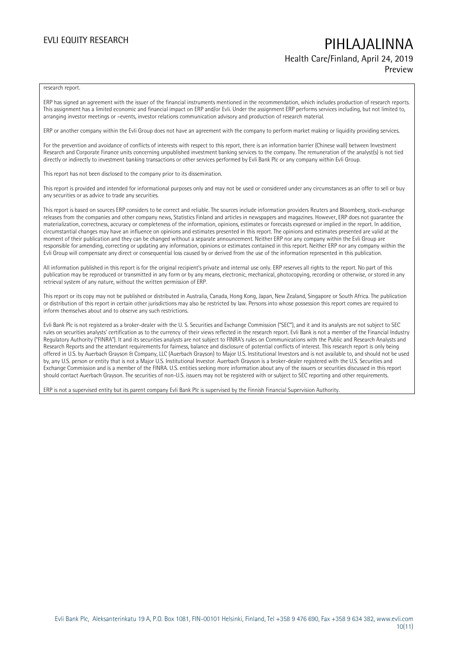## EVLI EQUITY RESEARCH **PIHLAJALINNA** Health Care/Finland, April 24, 2019 Preview

#### research report.

ERP has signed an agreement with the issuer of the financial instruments mentioned in the recommendation, which includes production of research reports. This assignment has a limited economic and financial impact on ERP and/or Evli. Under the assignment ERP performs services including, but not limited to, arranging investor meetings or –events, investor relations communication advisory and production of research material.

ERP or another company within the Evli Group does not have an agreement with the company to perform market making or liquidity providing services.

For the prevention and avoidance of conflicts of interests with respect to this report, there is an information barrier (Chinese wall) between Investment Research and Corporate Finance units concerning unpublished investment banking services to the company. The remuneration of the analyst(s) is not tied directly or indirectly to investment banking transactions or other services performed by Evli Bank Plc or any company within Evli Group.

This report has not been disclosed to the company prior to its dissemination.

This report is provided and intended for informational purposes only and may not be used or considered under any circumstances as an offer to sell or buy any securities or as advice to trade any securities.

This report is based on sources ERP considers to be correct and reliable. The sources include information providers Reuters and Bloomberg, stock-exchange releases from the companies and other company news, Statistics Finland and articles in newspapers and magazines. However, ERP does not guarantee the materialization, correctness, accuracy or completeness of the information, opinions, estimates or forecasts expressed or implied in the report. In addition, circumstantial changes may have an influence on opinions and estimates presented in this report. The opinions and estimates presented are valid at the moment of their publication and they can be changed without a separate announcement. Neither ERP nor any company within the Evli Group are responsible for amending, correcting or updating any information, opinions or estimates contained in this report. Neither ERP nor any company within the Evli Group will compensate any direct or consequential loss caused by or derived from the use of the information represented in this publication.

All information published in this report is for the original recipient's private and internal use only. ERP reserves all rights to the report. No part of this publication may be reproduced or transmitted in any form or by any means, electronic, mechanical, photocopying, recording or otherwise, or stored in any retrieval system of any nature, without the written permission of ERP.

This report or its copy may not be published or distributed in Australia, Canada, Hong Kong, Japan, New Zealand, Singapore or South Africa. The publication or distribution of this report in certain other jurisdictions may also be restricted by law. Persons into whose possession this report comes are required to inform themselves about and to observe any such restrictions.

Evli Bank Plc is not registered as a broker-dealer with the U. S. Securities and Exchange Commission ("SEC"), and it and its analysts are not subject to SEC rules on securities analysts' certification as to the currency of their views reflected in the research report. Evli Bank is not a member of the Financial Industry Regulatory Authority ("FINRA"). It and its securities analysts are not subject to FINRA's rules on Communications with the Public and Research Analysts and Research Reports and the attendant requirements for fairness, balance and disclosure of potential conflicts of interest. This research report is only being offered in U.S. by Auerbach Grayson & Company, LLC (Auerbach Grayson) to Major U.S. Institutional Investors and is not available to, and should not be used by, any U.S. person or entity that is not a Major U.S. Institutional Investor. Auerbach Grayson is a broker-dealer registered with the U.S. Securities and Exchange Commission and is a member of the FINRA. U.S. entities seeking more information about any of the issuers or securities discussed in this report should contact Auerbach Grayson. The securities of non-U.S. issuers may not be registered with or subject to SEC reporting and other requirements.

ERP is not a supervised entity but its parent company Evli Bank Plc is supervised by the Finnish Financial Supervision Authority.